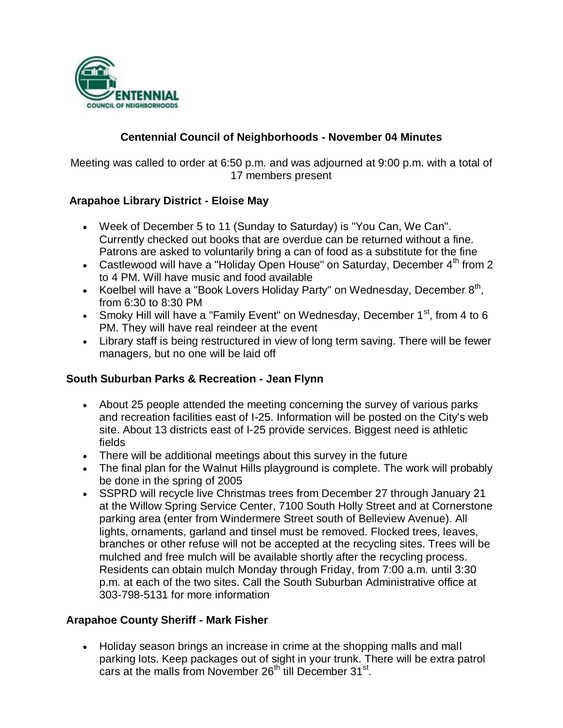

## **Centennial Council of Neighborhoods - November 04 Minutes**

Meeting was called to order at 6:50 p.m. and was adjourned at 9:00 p.m. with a total of 17 members present

## **Arapahoe Library District - Eloise May**

- Week of December 5 to 11 (Sunday to Saturday) is "You Can, We Can". Currently checked out books that are overdue can be returned without a fine. Patrons are asked to voluntarily bring a can of food as a substitute for the fine
- Castlewood will have a "Holiday Open House" on Saturday, December  $4<sup>th</sup>$  from 2 to 4 PM. Will have music and food available
- Koelbel will have a "Book Lovers Holiday Party" on Wednesday, December  $8<sup>th</sup>$ , from 6:30 to 8:30 PM
- Smoky Hill will have a "Family Event" on Wednesday, December  $1<sup>st</sup>$ , from 4 to 6 PM. They will have real reindeer at the event
- Library staff is being restructured in view of long term saving. There will be fewer managers, but no one will be laid off

### **South Suburban Parks & Recreation - Jean Flynn**

- About 25 people attended the meeting concerning the survey of various parks and recreation facilities east of I-25. Information will be posted on the City's web site. About 13 districts east of I-25 provide services. Biggest need is athletic fields
- There will be additional meetings about this survey in the future
- The final plan for the Walnut Hills playground is complete. The work will probably be done in the spring of 2005
- SSPRD will recycle live Christmas trees from December 27 through January 21 at the Willow Spring Service Center, 7100 South Holly Street and at Cornerstone parking area (enter from Windermere Street south of Belleview Avenue). All lights, ornaments, garland and tinsel must be removed. Flocked trees, leaves, branches or other refuse will not be accepted at the recycling sites. Trees will be mulched and free mulch will be available shortly after the recycling process. Residents can obtain mulch Monday through Friday, from 7:00 a.m. until 3:30 p.m. at each of the two sites. Call the South Suburban Administrative office at 303-798-5131 for more information

## **Arapahoe County Sheriff - Mark Fisher**

 Holiday season brings an increase in crime at the shopping malls and mall parking lots. Keep packages out of sight in your trunk. There will be extra patrol cars at the malls from November  $26<sup>th</sup>$  till December  $31<sup>st</sup>$ .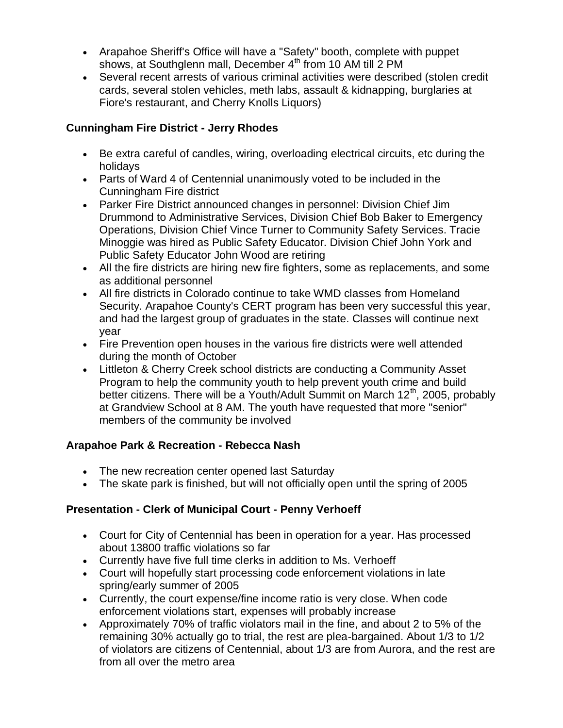- Arapahoe Sheriff's Office will have a "Safety" booth, complete with puppet shows, at Southglenn mall, December  $4<sup>th</sup>$  from 10 AM till 2 PM
- Several recent arrests of various criminal activities were described (stolen credit cards, several stolen vehicles, meth labs, assault & kidnapping, burglaries at Fiore's restaurant, and Cherry Knolls Liquors)

## **Cunningham Fire District - Jerry Rhodes**

- Be extra careful of candles, wiring, overloading electrical circuits, etc during the holidays
- Parts of Ward 4 of Centennial unanimously voted to be included in the Cunningham Fire district
- Parker Fire District announced changes in personnel: Division Chief Jim Drummond to Administrative Services, Division Chief Bob Baker to Emergency Operations, Division Chief Vince Turner to Community Safety Services. Tracie Minoggie was hired as Public Safety Educator. Division Chief John York and Public Safety Educator John Wood are retiring
- All the fire districts are hiring new fire fighters, some as replacements, and some as additional personnel
- All fire districts in Colorado continue to take WMD classes from Homeland Security. Arapahoe County's CERT program has been very successful this year, and had the largest group of graduates in the state. Classes will continue next year
- Fire Prevention open houses in the various fire districts were well attended during the month of October
- Littleton & Cherry Creek school districts are conducting a Community Asset Program to help the community youth to help prevent youth crime and build better citizens. There will be a Youth/Adult Summit on March  $12<sup>th</sup>$ , 2005, probably at Grandview School at 8 AM. The youth have requested that more "senior" members of the community be involved

## **Arapahoe Park & Recreation - Rebecca Nash**

- The new recreation center opened last Saturday
- The skate park is finished, but will not officially open until the spring of 2005

## **Presentation - Clerk of Municipal Court - Penny Verhoeff**

- Court for City of Centennial has been in operation for a year. Has processed about 13800 traffic violations so far
- Currently have five full time clerks in addition to Ms. Verhoeff
- Court will hopefully start processing code enforcement violations in late spring/early summer of 2005
- Currently, the court expense/fine income ratio is very close. When code enforcement violations start, expenses will probably increase
- Approximately 70% of traffic violators mail in the fine, and about 2 to 5% of the remaining 30% actually go to trial, the rest are plea-bargained. About 1/3 to 1/2 of violators are citizens of Centennial, about 1/3 are from Aurora, and the rest are from all over the metro area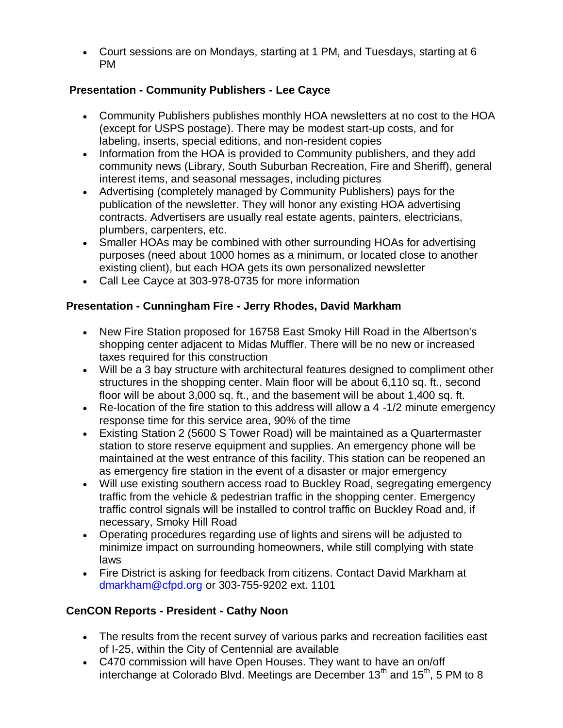Court sessions are on Mondays, starting at 1 PM, and Tuesdays, starting at 6 PM

## **Presentation - Community Publishers - Lee Cayce**

- Community Publishers publishes monthly HOA newsletters at no cost to the HOA (except for USPS postage). There may be modest start-up costs, and for labeling, inserts, special editions, and non-resident copies
- Information from the HOA is provided to Community publishers, and they add community news (Library, South Suburban Recreation, Fire and Sheriff), general interest items, and seasonal messages, including pictures
- Advertising (completely managed by Community Publishers) pays for the publication of the newsletter. They will honor any existing HOA advertising contracts. Advertisers are usually real estate agents, painters, electricians, plumbers, carpenters, etc.
- Smaller HOAs may be combined with other surrounding HOAs for advertising purposes (need about 1000 homes as a minimum, or located close to another existing client), but each HOA gets its own personalized newsletter
- Call Lee Cayce at 303-978-0735 for more information

## **Presentation - Cunningham Fire - Jerry Rhodes, David Markham**

- New Fire Station proposed for 16758 East Smoky Hill Road in the Albertson's shopping center adjacent to Midas Muffler. There will be no new or increased taxes required for this construction
- Will be a 3 bay structure with architectural features designed to compliment other structures in the shopping center. Main floor will be about 6,110 sq. ft., second floor will be about 3,000 sq. ft., and the basement will be about 1,400 sq. ft.
- Re-location of the fire station to this address will allow a  $4 1/2$  minute emergency response time for this service area, 90% of the time
- Existing Station 2 (5600 S Tower Road) will be maintained as a Quartermaster station to store reserve equipment and supplies. An emergency phone will be maintained at the west entrance of this facility. This station can be reopened an as emergency fire station in the event of a disaster or major emergency
- Will use existing southern access road to Buckley Road, segregating emergency traffic from the vehicle & pedestrian traffic in the shopping center. Emergency traffic control signals will be installed to control traffic on Buckley Road and, if necessary, Smoky Hill Road
- Operating procedures regarding use of lights and sirens will be adjusted to minimize impact on surrounding homeowners, while still complying with state laws
- Fire District is asking for feedback from citizens. Contact David Markham at dmarkham@cfpd.org or 303-755-9202 ext. 1101

# **CenCON Reports - President - Cathy Noon**

- The results from the recent survey of various parks and recreation facilities east of I-25, within the City of Centennial are available
- C470 commission will have Open Houses. They want to have an on/off interchange at Colorado Blvd. Meetings are December  $13<sup>th</sup>$  and  $15<sup>th</sup>$ , 5 PM to 8